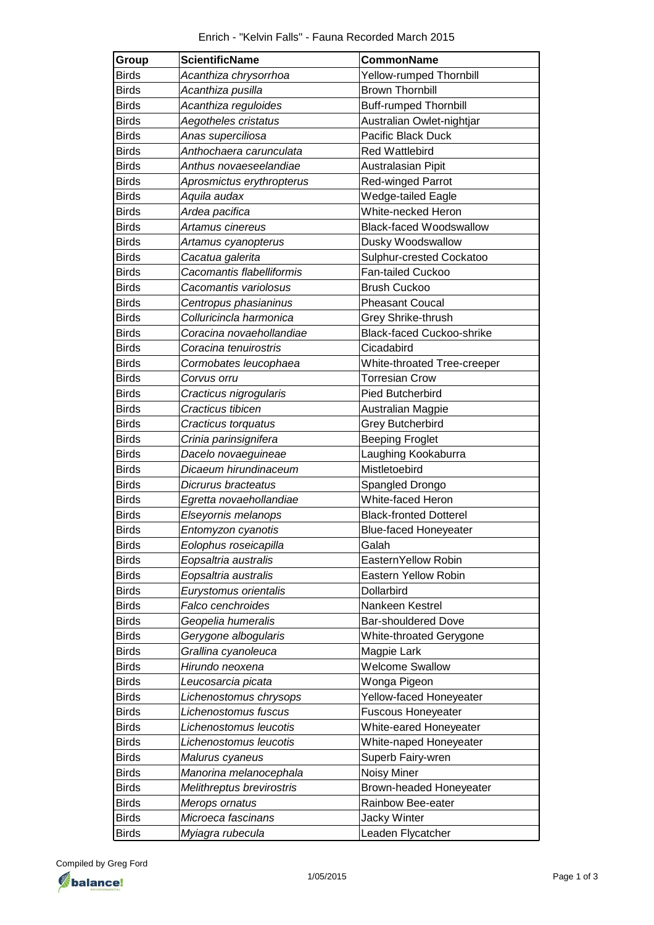| Group        | <b>ScientificName</b>     | CommonName                       |
|--------------|---------------------------|----------------------------------|
| <b>Birds</b> | Acanthiza chrysorrhoa     | <b>Yellow-rumped Thornbill</b>   |
| <b>Birds</b> | Acanthiza pusilla         | <b>Brown Thornbill</b>           |
| <b>Birds</b> | Acanthiza reguloides      | <b>Buff-rumped Thornbill</b>     |
| <b>Birds</b> | Aegotheles cristatus      | Australian Owlet-nightjar        |
| <b>Birds</b> | Anas superciliosa         | Pacific Black Duck               |
| <b>Birds</b> | Anthochaera carunculata   | <b>Red Wattlebird</b>            |
| <b>Birds</b> | Anthus novaeseelandiae    | Australasian Pipit               |
| <b>Birds</b> | Aprosmictus erythropterus | <b>Red-winged Parrot</b>         |
| <b>Birds</b> | Aquila audax              | Wedge-tailed Eagle               |
| <b>Birds</b> | Ardea pacifica            | White-necked Heron               |
| <b>Birds</b> | Artamus cinereus          | <b>Black-faced Woodswallow</b>   |
| <b>Birds</b> | Artamus cyanopterus       | Dusky Woodswallow                |
| <b>Birds</b> | Cacatua galerita          | Sulphur-crested Cockatoo         |
| <b>Birds</b> | Cacomantis flabelliformis | Fan-tailed Cuckoo                |
| <b>Birds</b> | Cacomantis variolosus     | <b>Brush Cuckoo</b>              |
| <b>Birds</b> | Centropus phasianinus     | <b>Pheasant Coucal</b>           |
| <b>Birds</b> | Colluricincla harmonica   | Grey Shrike-thrush               |
| <b>Birds</b> | Coracina novaehollandiae  | <b>Black-faced Cuckoo-shrike</b> |
| <b>Birds</b> | Coracina tenuirostris     | Cicadabird                       |
| Birds        | Cormobates leucophaea     | White-throated Tree-creeper      |
| <b>Birds</b> | Corvus orru               | <b>Torresian Crow</b>            |
| <b>Birds</b> | Cracticus nigrogularis    | <b>Pied Butcherbird</b>          |
| <b>Birds</b> | Cracticus tibicen         | Australian Magpie                |
| <b>Birds</b> | Cracticus torquatus       | <b>Grey Butcherbird</b>          |
| <b>Birds</b> | Crinia parinsignifera     | <b>Beeping Froglet</b>           |
| <b>Birds</b> | Dacelo novaeguineae       | Laughing Kookaburra              |
| <b>Birds</b> | Dicaeum hirundinaceum     | Mistletoebird                    |
| <b>Birds</b> | Dicrurus bracteatus       | Spangled Drongo                  |
| <b>Birds</b> | Egretta novaehollandiae   | White-faced Heron                |
| <b>Birds</b> | Elseyornis melanops       | <b>Black-fronted Dotterel</b>    |
| <b>Birds</b> | Entomyzon cyanotis        | <b>Blue-faced Honeyeater</b>     |
| <b>Birds</b> | Eolophus roseicapilla     | Galah                            |
| Birds        | Eopsaltria australis      | EasternYellow Robin              |
| <b>Birds</b> | Eopsaltria australis      | Eastern Yellow Robin             |
| <b>Birds</b> | Eurystomus orientalis     | Dollarbird                       |
| <b>Birds</b> | Falco cenchroides         | Nankeen Kestrel                  |
| <b>Birds</b> | Geopelia humeralis        | <b>Bar-shouldered Dove</b>       |
| <b>Birds</b> | Gerygone albogularis      | White-throated Gerygone          |
| Birds        | Grallina cyanoleuca       | Magpie Lark                      |
| <b>Birds</b> | Hirundo neoxena           | <b>Welcome Swallow</b>           |
| <b>Birds</b> | Leucosarcia picata        | Wonga Pigeon                     |
| <b>Birds</b> | Lichenostomus chrysops    | Yellow-faced Honeyeater          |
| <b>Birds</b> | Lichenostomus fuscus      | <b>Fuscous Honeyeater</b>        |
| <b>Birds</b> | Lichenostomus leucotis    | White-eared Honeyeater           |
| <b>Birds</b> | Lichenostomus leucotis    | White-naped Honeyeater           |
| <b>Birds</b> | Malurus cyaneus           | Superb Fairy-wren                |
| <b>Birds</b> | Manorina melanocephala    | Noisy Miner                      |
| <b>Birds</b> | Melithreptus brevirostris | Brown-headed Honeyeater          |
| <b>Birds</b> | Merops ornatus            | Rainbow Bee-eater                |
| <b>Birds</b> | Microeca fascinans        | Jacky Winter                     |
| <b>Birds</b> | Myiagra rubecula          | Leaden Flycatcher                |

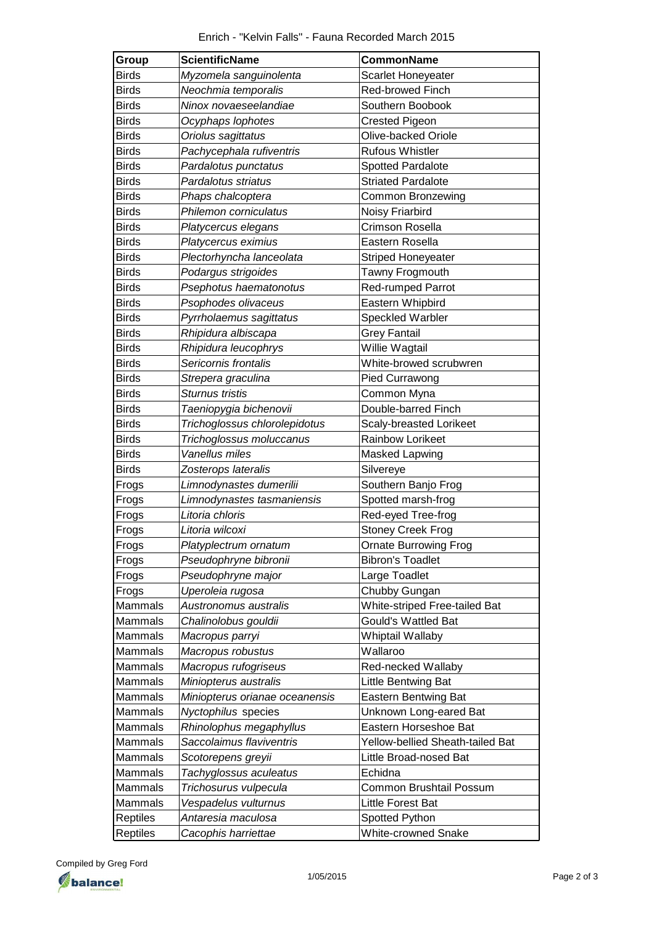| Group        | <b>ScientificName</b>          | CommonName                       |
|--------------|--------------------------------|----------------------------------|
| <b>Birds</b> | Myzomela sanguinolenta         | Scarlet Honeyeater               |
| <b>Birds</b> | Neochmia temporalis            | Red-browed Finch                 |
| <b>Birds</b> | Ninox novaeseelandiae          | Southern Boobook                 |
| <b>Birds</b> | Ocyphaps lophotes              | <b>Crested Pigeon</b>            |
| <b>Birds</b> | Oriolus sagittatus             | Olive-backed Oriole              |
| <b>Birds</b> | Pachycephala rufiventris       | <b>Rufous Whistler</b>           |
| <b>Birds</b> | Pardalotus punctatus           | <b>Spotted Pardalote</b>         |
| <b>Birds</b> | Pardalotus striatus            | <b>Striated Pardalote</b>        |
| <b>Birds</b> | Phaps chalcoptera              | <b>Common Bronzewing</b>         |
| <b>Birds</b> | Philemon corniculatus          | Noisy Friarbird                  |
| <b>Birds</b> | Platycercus elegans            | Crimson Rosella                  |
| <b>Birds</b> | Platycercus eximius            | Eastern Rosella                  |
| <b>Birds</b> | Plectorhyncha lanceolata       | <b>Striped Honeyeater</b>        |
| <b>Birds</b> | Podargus strigoides            | Tawny Frogmouth                  |
| <b>Birds</b> | Psephotus haematonotus         | Red-rumped Parrot                |
| <b>Birds</b> | Psophodes olivaceus            | Eastern Whipbird                 |
| <b>Birds</b> | Pyrrholaemus sagittatus        | <b>Speckled Warbler</b>          |
| <b>Birds</b> | Rhipidura albiscapa            | <b>Grey Fantail</b>              |
| <b>Birds</b> | Rhipidura leucophrys           | Willie Wagtail                   |
| <b>Birds</b> | Sericornis frontalis           | White-browed scrubwren           |
| <b>Birds</b> | Strepera graculina             | <b>Pied Currawong</b>            |
| <b>Birds</b> | Sturnus tristis                | Common Myna                      |
| <b>Birds</b> | Taeniopygia bichenovii         | Double-barred Finch              |
| <b>Birds</b> | Trichoglossus chlorolepidotus  | Scaly-breasted Lorikeet          |
| <b>Birds</b> | Trichoglossus moluccanus       | Rainbow Lorikeet                 |
| <b>Birds</b> | Vanellus miles                 | <b>Masked Lapwing</b>            |
| Birds        | Zosterops lateralis            | Silvereye                        |
| Frogs        | Limnodynastes dumerilii        | Southern Banjo Frog              |
| Frogs        | Limnodynastes tasmaniensis     | Spotted marsh-frog               |
| Frogs        | Litoria chloris                | Red-eyed Tree-frog               |
| Frogs        | Litoria wilcoxi                | <b>Stoney Creek Frog</b>         |
| Frogs        | Platyplectrum ornatum          | <b>Ornate Burrowing Frog</b>     |
| Frogs        | Pseudophryne bibronii          | <b>Bibron's Toadlet</b>          |
| Frogs        | Pseudophryne major             | Large Toadlet                    |
| Frogs        | Uperoleia rugosa               | Chubby Gungan                    |
| Mammals      | Austronomus australis          | White-striped Free-tailed Bat    |
| Mammals      | Chalinolobus gouldii           | <b>Gould's Wattled Bat</b>       |
| Mammals      | Macropus parryi                | Whiptail Wallaby                 |
| Mammals      | Macropus robustus              | Wallaroo                         |
| Mammals      | Macropus rufogriseus           | Red-necked Wallaby               |
| Mammals      | Miniopterus australis          | Little Bentwing Bat              |
| Mammals      | Miniopterus orianae oceanensis | <b>Eastern Bentwing Bat</b>      |
| Mammals      | Nyctophilus species            | Unknown Long-eared Bat           |
| Mammals      | Rhinolophus megaphyllus        | Eastern Horseshoe Bat            |
| Mammals      | Saccolaimus flaviventris       | Yellow-bellied Sheath-tailed Bat |
| Mammals      | Scotorepens greyii             | Little Broad-nosed Bat           |
| Mammals      | Tachyglossus aculeatus         | Echidna                          |
| Mammals      | Trichosurus vulpecula          | Common Brushtail Possum          |
| Mammals      | Vespadelus vulturnus           | Little Forest Bat                |
| Reptiles     | Antaresia maculosa             | Spotted Python                   |
| Reptiles     | Cacophis harriettae            | <b>White-crowned Snake</b>       |